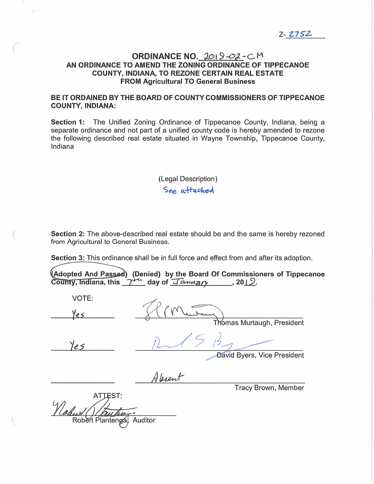Z- Z752.

### ORDINANCE NO. 2019-02-CM  $Z-\frac{2752}{21252}$ <br>ORDINANCE NO.  $2019-02-C$  M<br>AN ORDINANCE TO AMEND THE ZONING ORDINANCE OF TIPPECANOE COUNTY, INDIANA, TO REZONE CERTAIN REAL ESTATE **ORDINANCE NO.** 2019-02 - C<br>TO AMEND THE ZONING ORDINANCE C<br>FROM Agricultural TO General Business,<br>FROM Agricultural TO General Business AN ORDINANCE TO AMEND THE ZONING ORDINANCE OF TIPPECANOE<br>COUNTY, INDIANA, TO REZONE CERTAIN REAL ESTATE<br>FROM Agricultural TO General Business<br>BE IT ORDAINED BY THE BOARD OF COUNTY COMMISSIONERS OF TIPPECANOE

# BE IT ORDAINED BY THE BOARD OF COUNTY COMMISSIONERS OF TIPPECANOE<br>COUNTY, INDIANA:<br>Section 1: The Unified Zoning Ordinance of Tippecanoe County, Indiana, being a

COUNTY, INDIANA:<br>Section 1: The Unified Zoning Ordinance of Tippecanoe County, Indiana, being a<br>separate ordinance and not part of a unified county code is hereby amended to rezone Section 1: The Unified Zoning Ordinance of Tippecanoe County, Indiana, being a<br>separate ordinance and not part of a unified county code is hereby amended to rezone<br>the following described real estate situated in Wayne Town ssstroi<br>separat<br>:he\_foll<br>Indiana

### (Legal Description) See attached

Section 2: The above-described real estate should be and the same is hereby rezoned **Section 2:** The above-described real<br>from Agricultural to General Business Section 2: The above-described real estate should be and the same is hereby rezofrom Agricultural to General Business.<br>Section 3: This ordinance shall be in full force and effect from and after its adoption.

' nance shall be in full force and effect from and after its adoption.<br>sed) (Denied)by the Board Of Commissioners of Tippecanoe action 3: This ordinance shall be in full force and effect from and<br>
dopted And Passed) (Denied) by the Board Of Commission<br>
ounty, Indiana, this  $\gamma^{\mu\nu}$  day of  $\pi$ 

 $y$ , Indiana, this  $7^{+6}$  day of *Ianuary*<br>VOTE:<br>Yes Yes Villands 1, or 11 Thomas Murtaugh, President  $\qquad \qquad \qquad \qquad \qquad$ -—'  $\frac{1}{2}$ //' David Byers, Vice President Tracy Brown, Member ATTEST: Robert Plantenga, Auditor